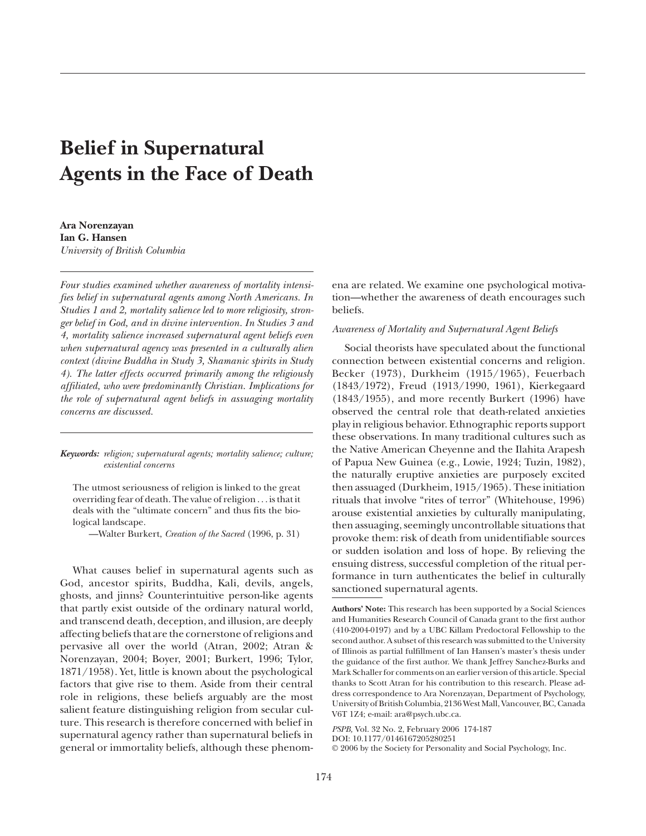# **Belief in Supernatural Agents in the Face of Death**

**Ara Norenzayan Ian G. Hansen** *University of British Columbia*

*Four studies examined whether awareness of mortality intensifies belief in supernatural agents among North Americans. In Studies 1 and 2, mortality salience led to more religiosity, stronger belief in God, and in divine intervention. In Studies 3 and 4, mortality salience increased supernatural agent beliefs even when supernatural agency was presented in a culturally alien context (divine Buddha in Study 3, Shamanic spirits in Study 4). The latter effects occurred primarily among the religiously affiliated, who were predominantly Christian. Implications for the role of supernatural agent beliefs in assuaging mortality concerns are discussed.*

*Keywords: religion; supernatural agents; mortality salience; culture; existential concerns*

The utmost seriousness of religion is linked to the great overriding fear of death. The value of religion . . . isthat it deals with the "ultimate concern" and thus fits the biological landscape.

—Walter Burkert, *Creation of the Sacred* (1996, p. 31)

What causes belief in supernatural agents such as God, ancestor spirits, Buddha, Kali, devils, angels, ghosts, and jinns? Counterintuitive person-like agents that partly exist outside of the ordinary natural world, and transcend death, deception, and illusion, are deeply affecting beliefs that are the cornerstone of religions and pervasive all over the world (Atran, 2002; Atran & Norenzayan, 2004; Boyer, 2001; Burkert, 1996; Tylor, 1871/1958). Yet, little is known about the psychological factors that give rise to them. Aside from their central role in religions, these beliefs arguably are the most salient feature distinguishing religion from secular culture. This research is therefore concerned with belief in supernatural agency rather than supernatural beliefs in general or immortality beliefs, although these phenomena are related. We examine one psychological motivation—whether the awareness of death encourages such beliefs.

# *Awareness of Mortality and Supernatural Agent Beliefs*

Social theorists have speculated about the functional connection between existential concerns and religion. Becker (1973), Durkheim (1915/1965), Feuerbach (1843/1972), Freud (1913/1990, 1961), Kierkegaard (1843/1955), and more recently Burkert (1996) have observed the central role that death-related anxieties play in religious behavior. Ethnographic reports support these observations. In many traditional cultures such as the Native American Cheyenne and the Ilahita Arapesh of Papua New Guinea (e.g., Lowie, 1924; Tuzin, 1982), the naturally eruptive anxieties are purposely excited then assuaged (Durkheim, 1915/1965). These initiation rituals that involve "rites of terror" (Whitehouse, 1996) arouse existential anxieties by culturally manipulating, then assuaging, seemingly uncontrollable situations that provoke them: risk of death from unidentifiable sources or sudden isolation and loss of hope. By relieving the ensuing distress, successful completion of the ritual performance in turn authenticates the belief in culturally sanctioned supernatural agents.

*PSPB,* Vol. 32 No. 2, February 2006 174-187

DOI: 10.1177/0146167205280251

**Authors' Note:** This research has been supported by a Social Sciences and Humanities Research Council of Canada grant to the first author (410-2004-0197) and by a UBC Killam Predoctoral Fellowship to the second author. A subset of this research was submitted to the University of Illinois as partial fulfillment of Ian Hansen's master's thesis under the guidance of the first author. We thank Jeffrey Sanchez-Burks and Mark Schaller for comments on an earlier version of this article. Special thanks to Scott Atran for his contribution to this research. Please address correspondence to Ara Norenzayan, Department of Psychology, University of British Columbia, 2136 West Mall, Vancouver, BC, Canada V6T 1Z4; e-mail: ara@psych.ubc.ca.

<sup>© 2006</sup> by the Society for Personality and Social Psychology, Inc.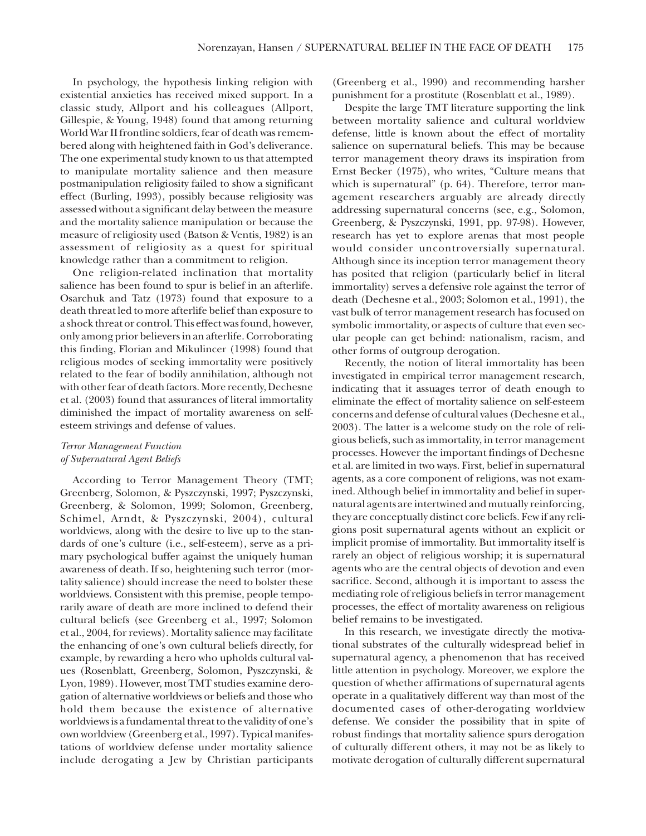In psychology, the hypothesis linking religion with existential anxieties has received mixed support. In a classic study, Allport and his colleagues (Allport, Gillespie, & Young, 1948) found that among returning World War II frontline soldiers, fear of death was remembered along with heightened faith in God's deliverance. The one experimental study known to us that attempted to manipulate mortality salience and then measure postmanipulation religiosity failed to show a significant effect (Burling, 1993), possibly because religiosity was assessed without a significant delay between the measure and the mortality salience manipulation or because the measure of religiosity used (Batson & Ventis, 1982) is an assessment of religiosity as a quest for spiritual knowledge rather than a commitment to religion.

One religion-related inclination that mortality salience has been found to spur is belief in an afterlife. Osarchuk and Tatz (1973) found that exposure to a death threat led to more afterlife belief than exposure to a shock threat or control. This effect was found, however, only among prior believers in an afterlife. Corroborating this finding, Florian and Mikulincer (1998) found that religious modes of seeking immortality were positively related to the fear of bodily annihilation, although not with other fear of death factors. More recently, Dechesne et al. (2003) found that assurances of literal immortality diminished the impact of mortality awareness on selfesteem strivings and defense of values.

# *Terror Management Function of Supernatural Agent Beliefs*

According to Terror Management Theory (TMT; Greenberg, Solomon, & Pyszczynski, 1997; Pyszczynski, Greenberg, & Solomon, 1999; Solomon, Greenberg, Schimel, Arndt, & Pyszczynski, 2004), cultural worldviews, along with the desire to live up to the standards of one's culture (i.e., self-esteem), serve as a primary psychological buffer against the uniquely human awareness of death. If so, heightening such terror (mortality salience) should increase the need to bolster these worldviews. Consistent with this premise, people temporarily aware of death are more inclined to defend their cultural beliefs (see Greenberg et al., 1997; Solomon et al., 2004, for reviews). Mortality salience may facilitate the enhancing of one's own cultural beliefs directly, for example, by rewarding a hero who upholds cultural values (Rosenblatt, Greenberg, Solomon, Pyszczynski, & Lyon, 1989). However, most TMT studies examine derogation of alternative worldviews or beliefs and those who hold them because the existence of alternative worldviews is a fundamental threat to the validity of one's own worldview (Greenberg et al., 1997). Typical manifestations of worldview defense under mortality salience include derogating a Jew by Christian participants

(Greenberg et al., 1990) and recommending harsher punishment for a prostitute (Rosenblatt et al., 1989).

Despite the large TMT literature supporting the link between mortality salience and cultural worldview defense, little is known about the effect of mortality salience on supernatural beliefs. This may be because terror management theory draws its inspiration from Ernst Becker (1975), who writes, "Culture means that which is supernatural" (p. 64). Therefore, terror management researchers arguably are already directly addressing supernatural concerns (see, e.g., Solomon, Greenberg, & Pyszczynski, 1991, pp. 97-98). However, research has yet to explore arenas that most people would consider uncontroversially supernatural. Although since its inception terror management theory has posited that religion (particularly belief in literal immortality) serves a defensive role against the terror of death (Dechesne et al., 2003; Solomon et al., 1991), the vast bulk of terror management research has focused on symbolic immortality, or aspects of culture that even secular people can get behind: nationalism, racism, and other forms of outgroup derogation.

Recently, the notion of literal immortality has been investigated in empirical terror management research, indicating that it assuages terror of death enough to eliminate the effect of mortality salience on self-esteem concerns and defense of cultural values (Dechesne et al., 2003). The latter is a welcome study on the role of religious beliefs, such as immortality, in terror management processes. However the important findings of Dechesne et al. are limited in two ways. First, belief in supernatural agents, as a core component of religions, was not examined. Although belief in immortality and belief in supernatural agents are intertwined and mutually reinforcing, they are conceptually distinct core beliefs. Few if any religions posit supernatural agents without an explicit or implicit promise of immortality. But immortality itself is rarely an object of religious worship; it is supernatural agents who are the central objects of devotion and even sacrifice. Second, although it is important to assess the mediating role of religious beliefs in terror management processes, the effect of mortality awareness on religious belief remains to be investigated.

In this research, we investigate directly the motivational substrates of the culturally widespread belief in supernatural agency, a phenomenon that has received little attention in psychology. Moreover, we explore the question of whether affirmations of supernatural agents operate in a qualitatively different way than most of the documented cases of other-derogating worldview defense. We consider the possibility that in spite of robust findings that mortality salience spurs derogation of culturally different others, it may not be as likely to motivate derogation of culturally different supernatural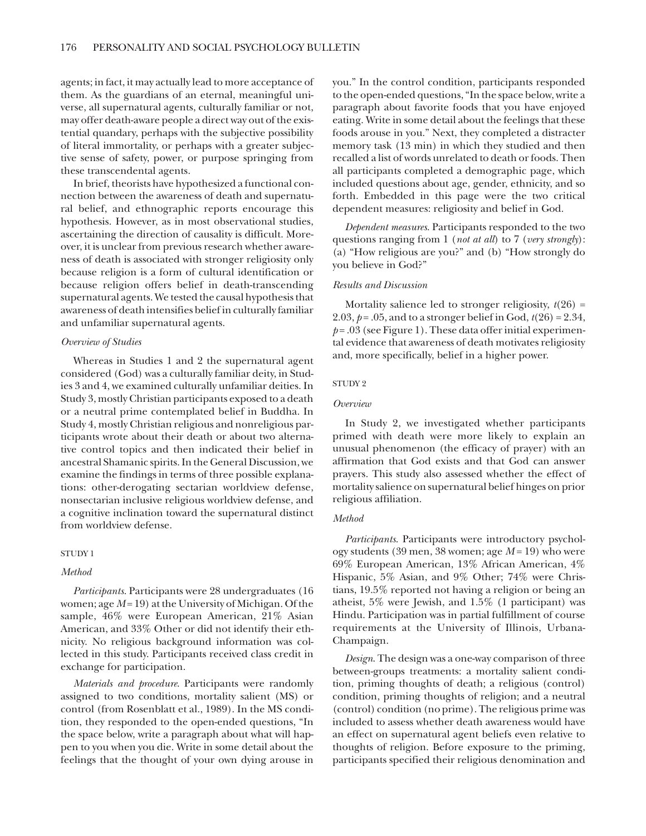agents; in fact, it may actually lead to more acceptance of them. As the guardians of an eternal, meaningful universe, all supernatural agents, culturally familiar or not, may offer death-aware people a direct way out of the existential quandary, perhaps with the subjective possibility of literal immortality, or perhaps with a greater subjective sense of safety, power, or purpose springing from these transcendental agents.

In brief, theorists have hypothesized a functional connection between the awareness of death and supernatural belief, and ethnographic reports encourage this hypothesis. However, as in most observational studies, ascertaining the direction of causality is difficult. Moreover, it is unclear from previous research whether awareness of death is associated with stronger religiosity only because religion is a form of cultural identification or because religion offers belief in death-transcending supernatural agents. We tested the causal hypothesis that awareness of death intensifies belief in culturally familiar and unfamiliar supernatural agents.

#### *Overview of Studies*

Whereas in Studies 1 and 2 the supernatural agent considered (God) was a culturally familiar deity, in Studies 3 and 4, we examined culturally unfamiliar deities. In Study 3, mostly Christian participants exposed to a death or a neutral prime contemplated belief in Buddha. In Study 4, mostly Christian religious and nonreligious participants wrote about their death or about two alternative control topics and then indicated their belief in ancestral Shamanic spirits. In the General Discussion, we examine the findings in terms of three possible explanations: other-derogating sectarian worldview defense, nonsectarian inclusive religious worldview defense, and a cognitive inclination toward the supernatural distinct from worldview defense.

## STUDY 1

## *Method*

*Participants*. Participants were 28 undergraduates (16 women; age *M* = 19) at the University of Michigan. Of the sample, 46% were European American, 21% Asian American, and 33% Other or did not identify their ethnicity. No religious background information was collected in this study. Participants received class credit in exchange for participation.

*Materials and procedure*. Participants were randomly assigned to two conditions, mortality salient (MS) or control (from Rosenblatt et al., 1989). In the MS condition, they responded to the open-ended questions, "In the space below, write a paragraph about what will happen to you when you die. Write in some detail about the feelings that the thought of your own dying arouse in you." In the control condition, participants responded to the open-ended questions, "In the space below, write a paragraph about favorite foods that you have enjoyed eating. Write in some detail about the feelings that these foods arouse in you." Next, they completed a distracter memory task (13 min) in which they studied and then recalled a list of words unrelated to death or foods. Then all participants completed a demographic page, which included questions about age, gender, ethnicity, and so forth. Embedded in this page were the two critical dependent measures: religiosity and belief in God.

*Dependent measures*. Participants responded to the two questions ranging from 1 (*not at all*) to 7 (*very strongly*): (a) "How religious are you?" and (b) "How strongly do you believe in God?"

# *Results and Discussion*

Mortality salience led to stronger religiosity,  $t(26)$  = 2.03, *p* = .05, and to a stronger belief in God, *t*(26) = 2.34,  $p = 0.03$  (see Figure 1). These data offer initial experimental evidence that awareness of death motivates religiosity and, more specifically, belief in a higher power.

#### STUDY 2

## *Overview*

In Study 2, we investigated whether participants primed with death were more likely to explain an unusual phenomenon (the efficacy of prayer) with an affirmation that God exists and that God can answer prayers. This study also assessed whether the effect of mortality salience on supernatural belief hinges on prior religious affiliation.

## *Method*

*Participants*. Participants were introductory psychology students (39 men, 38 women; age *M* = 19) who were 69% European American, 13% African American, 4% Hispanic, 5% Asian, and 9% Other; 74% were Christians, 19.5% reported not having a religion or being an atheist, 5% were Jewish, and 1.5% (1 participant) was Hindu. Participation was in partial fulfillment of course requirements at the University of Illinois, Urbana-Champaign.

*Design*. The design was a one-way comparison of three between-groups treatments: a mortality salient condition, priming thoughts of death; a religious (control) condition, priming thoughts of religion; and a neutral (control) condition (no prime). The religious prime was included to assess whether death awareness would have an effect on supernatural agent beliefs even relative to thoughts of religion. Before exposure to the priming, participants specified their religious denomination and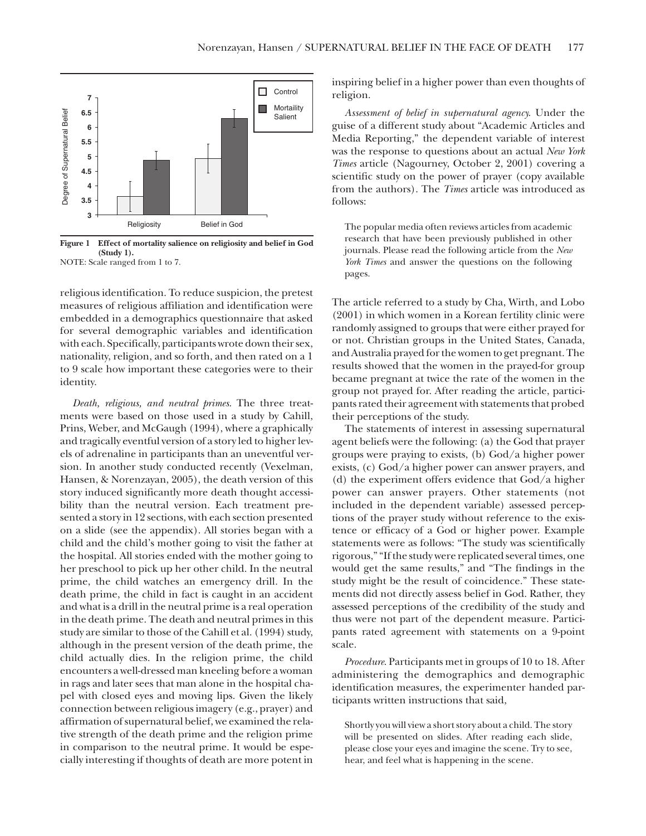

**Figure 1 Effect of mortality salience on religiosity and belief in God (Study 1).** NOTE: Scale ranged from 1 to 7.

religious identification. To reduce suspicion, the pretest measures of religious affiliation and identification were embedded in a demographics questionnaire that asked for several demographic variables and identification with each. Specifically, participants wrote down their sex, nationality, religion, and so forth, and then rated on a 1 to 9 scale how important these categories were to their identity.

*Death, religious, and neutral primes*. The three treatments were based on those used in a study by Cahill, Prins, Weber, and McGaugh (1994), where a graphically and tragically eventful version of a story led to higher levels of adrenaline in participants than an uneventful version. In another study conducted recently (Vexelman, Hansen, & Norenzayan, 2005), the death version of this story induced significantly more death thought accessibility than the neutral version. Each treatment presented a story in 12 sections, with each section presented on a slide (see the appendix). All stories began with a child and the child's mother going to visit the father at the hospital. All stories ended with the mother going to her preschool to pick up her other child. In the neutral prime, the child watches an emergency drill. In the death prime, the child in fact is caught in an accident and what is a drill in the neutral prime is a real operation in the death prime. The death and neutral primes in this study are similar to those of the Cahill et al. (1994) study, although in the present version of the death prime, the child actually dies. In the religion prime, the child encounters a well-dressed man kneeling before a woman in rags and later sees that man alone in the hospital chapel with closed eyes and moving lips. Given the likely connection between religious imagery (e.g., prayer) and affirmation of supernatural belief, we examined the relative strength of the death prime and the religion prime in comparison to the neutral prime. It would be especially interesting if thoughts of death are more potent in inspiring belief in a higher power than even thoughts of religion.

*Assessment of belief in supernatural agency*. Under the guise of a different study about "Academic Articles and Media Reporting," the dependent variable of interest was the response to questions about an actual *New York Times* article (Nagourney, October 2, 2001) covering a scientific study on the power of prayer (copy available from the authors). The *Times* article was introduced as follows:

The popular media often reviews articles from academic research that have been previously published in other journals. Please read the following article from the *New York Times* and answer the questions on the following pages.

The article referred to a study by Cha, Wirth, and Lobo (2001) in which women in a Korean fertility clinic were randomly assigned to groups that were either prayed for or not. Christian groups in the United States, Canada, and Australia prayed for the women to get pregnant. The results showed that the women in the prayed-for group became pregnant at twice the rate of the women in the group not prayed for. After reading the article, participants rated their agreement with statements that probed their perceptions of the study.

The statements of interest in assessing supernatural agent beliefs were the following: (a) the God that prayer groups were praying to exists, (b) God/a higher power exists, (c) God/a higher power can answer prayers, and (d) the experiment offers evidence that God/a higher power can answer prayers. Other statements (not included in the dependent variable) assessed perceptions of the prayer study without reference to the existence or efficacy of a God or higher power. Example statements were as follows: "The study was scientifically rigorous," "If the study were replicated several times, one would get the same results," and "The findings in the study might be the result of coincidence." These statements did not directly assess belief in God. Rather, they assessed perceptions of the credibility of the study and thus were not part of the dependent measure. Participants rated agreement with statements on a 9-point scale.

*Procedure*. Participants met in groups of 10 to 18. After administering the demographics and demographic identification measures, the experimenter handed participants written instructions that said,

Shortly you will view a short story about a child. The story will be presented on slides. After reading each slide, please close your eyes and imagine the scene. Try to see, hear, and feel what is happening in the scene.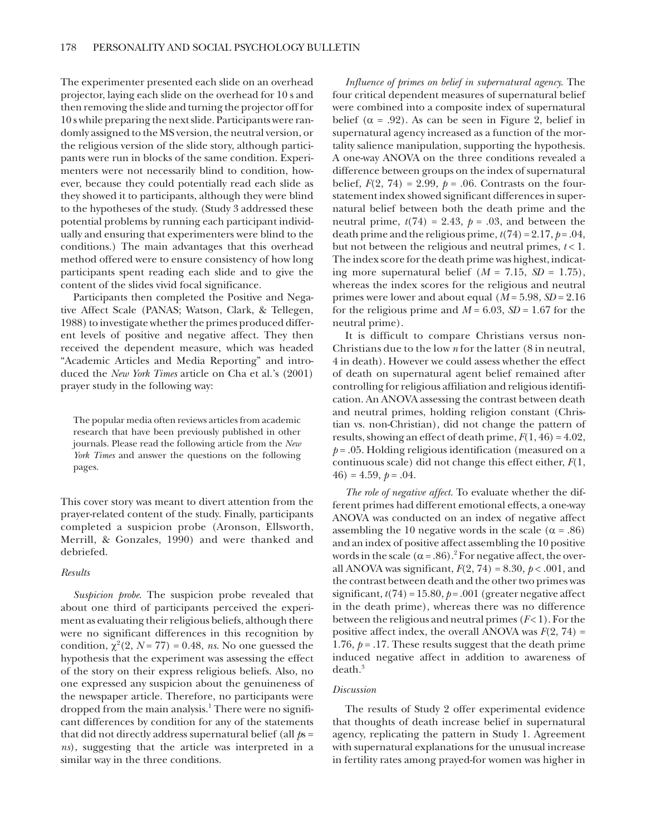The experimenter presented each slide on an overhead projector, laying each slide on the overhead for 10 s and then removing the slide and turning the projector off for 10 s while preparing the next slide. Participants were randomly assigned to the MS version, the neutral version, or the religious version of the slide story, although participants were run in blocks of the same condition. Experimenters were not necessarily blind to condition, however, because they could potentially read each slide as they showed it to participants, although they were blind to the hypotheses of the study. (Study 3 addressed these potential problems by running each participant individually and ensuring that experimenters were blind to the conditions.) The main advantages that this overhead method offered were to ensure consistency of how long participants spent reading each slide and to give the content of the slides vivid focal significance.

Participants then completed the Positive and Negative Affect Scale (PANAS; Watson, Clark, & Tellegen, 1988) to investigate whether the primes produced different levels of positive and negative affect. They then received the dependent measure, which was headed "Academic Articles and Media Reporting" and introduced the *New York Times* article on Cha et al.'s (2001) prayer study in the following way:

The popular media often reviews articles from academic research that have been previously published in other journals. Please read the following article from the *New York Times* and answer the questions on the following pages.

This cover story was meant to divert attention from the prayer-related content of the study. Finally, participants completed a suspicion probe (Aronson, Ellsworth, Merrill, & Gonzales, 1990) and were thanked and debriefed.

## *Results*

*Suspicion probe*. The suspicion probe revealed that about one third of participants perceived the experiment as evaluating their religious beliefs, although there were no significant differences in this recognition by condition,  $\chi^2(2, N = 77) = 0.48$ , *ns*. No one guessed the hypothesis that the experiment was assessing the effect of the story on their express religious beliefs. Also, no one expressed any suspicion about the genuineness of the newspaper article. Therefore, no participants were dropped from the main analysis.<sup>1</sup> There were no significant differences by condition for any of the statements that did not directly address supernatural belief (all *p*s = *ns*), suggesting that the article was interpreted in a similar way in the three conditions.

*Influence of primes on belief in supernatural agency*. The four critical dependent measures of supernatural belief were combined into a composite index of supernatural belief ( $\alpha$  = .92). As can be seen in Figure 2, belief in supernatural agency increased as a function of the mortality salience manipulation, supporting the hypothesis. A one-way ANOVA on the three conditions revealed a difference between groups on the index of supernatural belief,  $F(2, 74) = 2.99$ ,  $p = .06$ . Contrasts on the fourstatement index showed significant differences in supernatural belief between both the death prime and the neutral prime,  $t(74) = 2.43$ ,  $p = .03$ , and between the death prime and the religious prime,  $t(74) = 2.17$ ,  $p = .04$ , but not between the religious and neutral primes, *t* < 1. The index score for the death prime was highest, indicating more supernatural belief  $(M = 7.15, SD = 1.75)$ , whereas the index scores for the religious and neutral primes were lower and about equal (*M* = 5.98, *SD* = 2.16 for the religious prime and  $M = 6.03$ ,  $SD = 1.67$  for the neutral prime).

It is difficult to compare Christians versus non-Christians due to the low *n* for the latter (8 in neutral, 4 in death). However we could assess whether the effect of death on supernatural agent belief remained after controlling for religious affiliation and religious identification. An ANOVA assessing the contrast between death and neutral primes, holding religion constant (Christian vs. non-Christian), did not change the pattern of results, showing an effect of death prime,  $F(1, 46) = 4.02$ , *p* = .05. Holding religious identification (measured on a continuous scale) did not change this effect either, *F*(1,  $(46) = 4.59, p = .04.$ 

*The role of negative affect*. To evaluate whether the different primes had different emotional effects, a one-way ANOVA was conducted on an index of negative affect assembling the 10 negative words in the scale  $(\alpha = .86)$ and an index of positive affect assembling the 10 positive words in the scale ( $\alpha$  = .86).<sup>2</sup> For negative affect, the overall ANOVA was significant,  $F(2, 74) = 8.30, p < .001$ , and the contrast between death and the other two primes was significant,  $t(74) = 15.80$ ,  $p = .001$  (greater negative affect in the death prime), whereas there was no difference between the religious and neutral primes  $(F<1)$ . For the positive affect index, the overall ANOVA was  $F(2, 74) =$ 1.76,  $p = 0.17$ . These results suggest that the death prime induced negative affect in addition to awareness of death.3

# *Discussion*

The results of Study 2 offer experimental evidence that thoughts of death increase belief in supernatural agency, replicating the pattern in Study 1. Agreement with supernatural explanations for the unusual increase in fertility rates among prayed-for women was higher in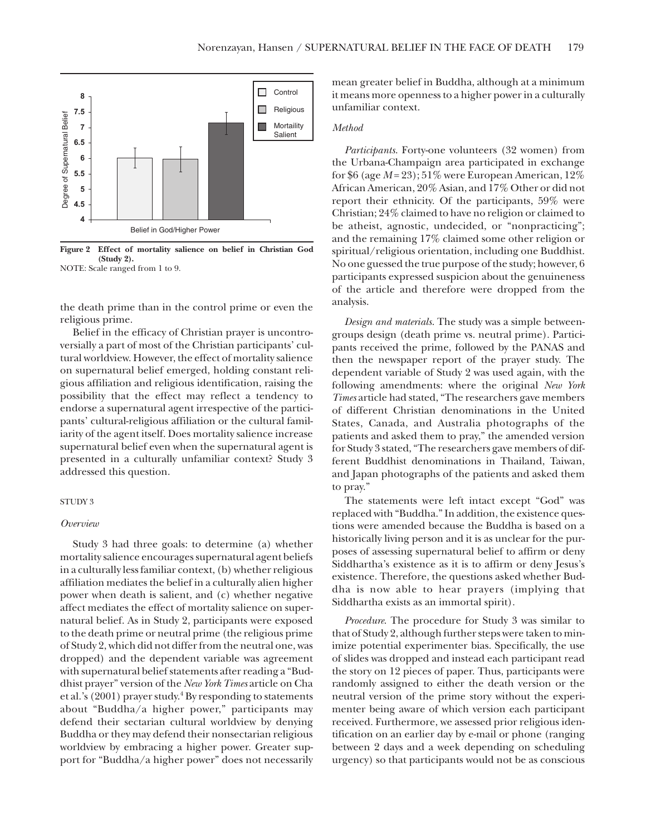

**Figure 2 Effect of mortality salience on belief in Christian God (Study 2).** NOTE: Scale ranged from 1 to 9.

the death prime than in the control prime or even the religious prime.

Belief in the efficacy of Christian prayer is uncontroversially a part of most of the Christian participants' cultural worldview. However, the effect of mortality salience on supernatural belief emerged, holding constant religious affiliation and religious identification, raising the possibility that the effect may reflect a tendency to endorse a supernatural agent irrespective of the participants' cultural-religious affiliation or the cultural familiarity of the agent itself. Does mortality salience increase supernatural belief even when the supernatural agent is presented in a culturally unfamiliar context? Study 3 addressed this question.

## STUDY 3

#### *Overview*

Study 3 had three goals: to determine (a) whether mortality salience encourages supernatural agent beliefs in a culturally less familiar context, (b) whether religious affiliation mediates the belief in a culturally alien higher power when death is salient, and (c) whether negative affect mediates the effect of mortality salience on supernatural belief. As in Study 2, participants were exposed to the death prime or neutral prime (the religious prime of Study 2, which did not differ from the neutral one, was dropped) and the dependent variable was agreement with supernatural belief statements after reading a "Buddhist prayer" version of the *New York Times* article on Cha et al.'s  $(2001)$  prayer study.<sup>4</sup> By responding to statements about "Buddha/a higher power," participants may defend their sectarian cultural worldview by denying Buddha or they may defend their nonsectarian religious worldview by embracing a higher power. Greater support for "Buddha/a higher power" does not necessarily mean greater belief in Buddha, although at a minimum it means more openness to a higher power in a culturally unfamiliar context.

# *Method*

*Participants*. Forty-one volunteers (32 women) from the Urbana-Champaign area participated in exchange for \$6 (age *M* = 23); 51% were European American, 12% African American, 20% Asian, and 17% Other or did not report their ethnicity. Of the participants, 59% were Christian; 24% claimed to have no religion or claimed to be atheist, agnostic, undecided, or "nonpracticing"; and the remaining 17% claimed some other religion or spiritual/religious orientation, including one Buddhist. No one guessed the true purpose of the study; however, 6 participants expressed suspicion about the genuineness of the article and therefore were dropped from the analysis.

*Design and materials*. The study was a simple betweengroups design (death prime vs. neutral prime). Participants received the prime, followed by the PANAS and then the newspaper report of the prayer study. The dependent variable of Study 2 was used again, with the following amendments: where the original *New York Times* article had stated, "The researchers gave members of different Christian denominations in the United States, Canada, and Australia photographs of the patients and asked them to pray," the amended version for Study 3 stated, "The researchers gave members of different Buddhist denominations in Thailand, Taiwan, and Japan photographs of the patients and asked them to pray."

The statements were left intact except "God" was replaced with "Buddha." In addition, the existence questions were amended because the Buddha is based on a historically living person and it is as unclear for the purposes of assessing supernatural belief to affirm or deny Siddhartha's existence as it is to affirm or deny Jesus's existence. Therefore, the questions asked whether Buddha is now able to hear prayers (implying that Siddhartha exists as an immortal spirit).

*Procedure*. The procedure for Study 3 was similar to that of Study 2, although further steps were taken to minimize potential experimenter bias. Specifically, the use of slides was dropped and instead each participant read the story on 12 pieces of paper. Thus, participants were randomly assigned to either the death version or the neutral version of the prime story without the experimenter being aware of which version each participant received. Furthermore, we assessed prior religious identification on an earlier day by e-mail or phone (ranging between 2 days and a week depending on scheduling urgency) so that participants would not be as conscious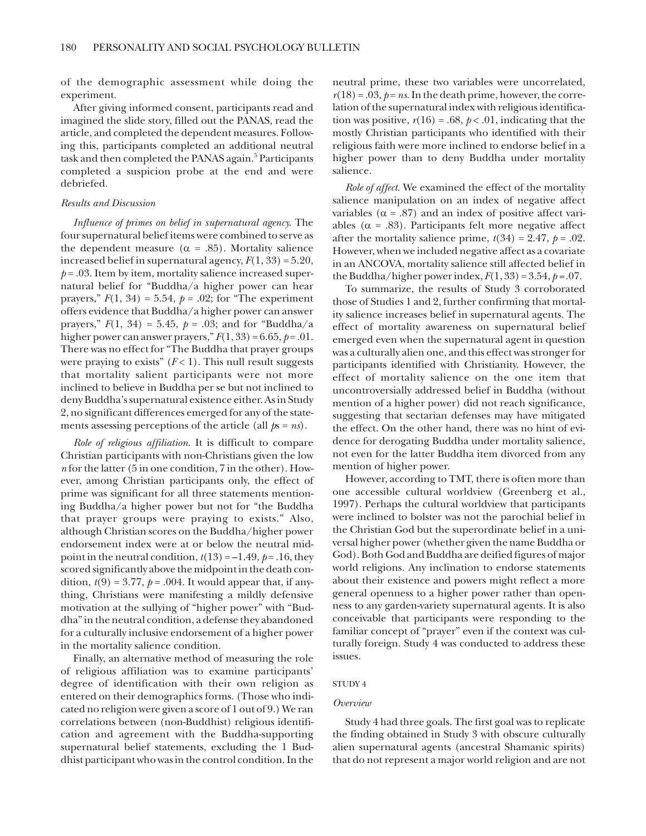of the demographic assessment while doing the experiment.

After giving informed consent, participants read and imagined the slide story, filled out the PANAS, read the article, and completed the dependent measures. Following this, participants completed an additional neutral task and then completed the PANAS again.<sup>5</sup> Participants completed a suspicion probe at the end and were debriefed.

## *Results and Discussion*

*Influence of primes on belief in supernatural agency*. The four supernatural belief items were combined to serve as the dependent measure ( $\alpha = .85$ ). Mortality salience increased belief in supernatural agency,  $F(1, 33) = 5.20$ ,  $p = 0.03$ . Item by item, mortality salience increased supernatural belief for "Buddha/a higher power can hear prayers,"  $F(1, 34) = 5.54$ ,  $p = .02$ ; for "The experiment" offers evidence that Buddha/a higher power can answer prayers,"  $F(1, 34) = 5.45$ ,  $p = .03$ ; and for "Buddha/a higher power can answer prayers,"  $F(1, 33) = 6.65$ ,  $p = .01$ . There was no effect for "The Buddha that prayer groups were praying to exists"  $(F<1)$ . This null result suggests that mortality salient participants were not more inclined to believe in Buddha per se but not inclined to deny Buddha's supernatural existence either. As in Study 2, no significant differences emerged for any of the statements assessing perceptions of the article (all *p*s = *ns*).

*Role of religious affiliation*. It is difficult to compare Christian participants with non-Christians given the low *n* for the latter (5 in one condition, 7 in the other). However, among Christian participants only, the effect of prime was significant for all three statements mentioning Buddha/a higher power but not for "the Buddha that prayer groups were praying to exists." Also, although Christian scores on the Buddha/higher power endorsement index were at or below the neutral midpoint in the neutral condition,  $t(13) = -1.49$ ,  $p = .16$ , they scored significantly above the midpoint in the death condition,  $t(9) = 3.77$ ,  $p = .004$ . It would appear that, if anything, Christians were manifesting a mildly defensive motivation at the sullying of "higher power" with "Buddha" in the neutral condition, a defense they abandoned for a culturally inclusive endorsement of a higher power in the mortality salience condition.

Finally, an alternative method of measuring the role of religious affiliation was to examine participants' degree of identification with their own religion as entered on their demographics forms. (Those who indicated no religion were given a score of 1 out of 9.) We ran correlations between (non-Buddhist) religious identification and agreement with the Buddha-supporting supernatural belief statements, excluding the 1 Buddhist participant who was in the control condition. In the

neutral prime, these two variables were uncorrelated,  $r(18) = .03$ ,  $p = ns$ . In the death prime, however, the correlation of the supernatural index with religious identification was positive,  $r(16) = .68$ ,  $p < .01$ , indicating that the mostly Christian participants who identified with their religious faith were more inclined to endorse belief in a higher power than to deny Buddha under mortality salience.

*Role of affect*. We examined the effect of the mortality salience manipulation on an index of negative affect variables ( $\alpha$  = .87) and an index of positive affect variables ( $\alpha$  = .83). Participants felt more negative affect after the mortality salience prime,  $t(34) = 2.47$ ,  $p = .02$ . However, when we included negative affect as a covariate in an ANCOVA, mortality salience still affected belief in the Buddha/higher power index,  $F(1, 33) = 3.54$ ,  $p = .07$ .

To summarize, the results of Study 3 corroborated those of Studies 1 and 2, further confirming that mortality salience increases belief in supernatural agents. The effect of mortality awareness on supernatural belief emerged even when the supernatural agent in question was a culturally alien one, and this effect was stronger for participants identified with Christianity. However, the effect of mortality salience on the one item that uncontroversially addressed belief in Buddha (without mention of a higher power) did not reach significance, suggesting that sectarian defenses may have mitigated the effect. On the other hand, there was no hint of evidence for derogating Buddha under mortality salience, not even for the latter Buddha item divorced from any mention of higher power.

However, according to TMT, there is often more than one accessible cultural worldview (Greenberg et al., 1997). Perhaps the cultural worldview that participants were inclined to bolster was not the parochial belief in the Christian God but the superordinate belief in a universal higher power (whether given the name Buddha or God). Both God and Buddha are deified figures of major world religions. Any inclination to endorse statements about their existence and powers might reflect a more general openness to a higher power rather than openness to any garden-variety supernatural agents. It is also conceivable that participants were responding to the familiar concept of "prayer" even if the context was culturally foreign. Study 4 was conducted to address these issues.

## STUDY 4

#### *Overview*

Study 4 had three goals. The first goal was to replicate the finding obtained in Study 3 with obscure culturally alien supernatural agents (ancestral Shamanic spirits) that do not represent a major world religion and are not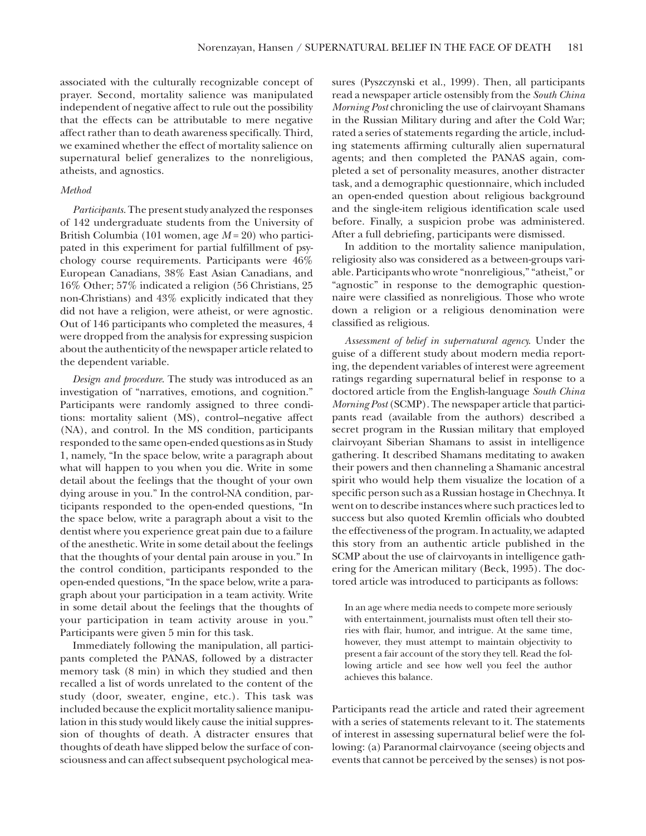associated with the culturally recognizable concept of prayer. Second, mortality salience was manipulated independent of negative affect to rule out the possibility that the effects can be attributable to mere negative affect rather than to death awareness specifically. Third, we examined whether the effect of mortality salience on supernatural belief generalizes to the nonreligious, atheists, and agnostics.

# *Method*

*Participants*. The present study analyzed the responses of 142 undergraduate students from the University of British Columbia (101 women, age *M* = 20) who participated in this experiment for partial fulfillment of psychology course requirements. Participants were 46% European Canadians, 38% East Asian Canadians, and 16% Other; 57% indicated a religion (56 Christians, 25 non-Christians) and 43% explicitly indicated that they did not have a religion, were atheist, or were agnostic. Out of 146 participants who completed the measures, 4 were dropped from the analysis for expressing suspicion about the authenticity of the newspaper article related to the dependent variable.

*Design and procedure*. The study was introduced as an investigation of "narratives, emotions, and cognition." Participants were randomly assigned to three conditions: mortality salient (MS), control–negative affect (NA), and control. In the MS condition, participants responded to the same open-ended questions as in Study 1, namely, "In the space below, write a paragraph about what will happen to you when you die. Write in some detail about the feelings that the thought of your own dying arouse in you." In the control-NA condition, participants responded to the open-ended questions, "In the space below, write a paragraph about a visit to the dentist where you experience great pain due to a failure of the anesthetic. Write in some detail about the feelings that the thoughts of your dental pain arouse in you." In the control condition, participants responded to the open-ended questions, "In the space below, write a paragraph about your participation in a team activity. Write in some detail about the feelings that the thoughts of your participation in team activity arouse in you." Participants were given 5 min for this task.

Immediately following the manipulation, all participants completed the PANAS, followed by a distracter memory task (8 min) in which they studied and then recalled a list of words unrelated to the content of the study (door, sweater, engine, etc.). This task was included because the explicit mortality salience manipulation in this study would likely cause the initial suppression of thoughts of death. A distracter ensures that thoughts of death have slipped below the surface of consciousness and can affect subsequent psychological measures (Pyszczynski et al., 1999). Then, all participants read a newspaper article ostensibly from the *South China Morning Post* chronicling the use of clairvoyant Shamans in the Russian Military during and after the Cold War; rated a series of statements regarding the article, including statements affirming culturally alien supernatural agents; and then completed the PANAS again, completed a set of personality measures, another distracter task, and a demographic questionnaire, which included an open-ended question about religious background and the single-item religious identification scale used before. Finally, a suspicion probe was administered. After a full debriefing, participants were dismissed.

In addition to the mortality salience manipulation, religiosity also was considered as a between-groups variable. Participants who wrote "nonreligious," "atheist," or "agnostic" in response to the demographic questionnaire were classified as nonreligious. Those who wrote down a religion or a religious denomination were classified as religious.

*Assessment of belief in supernatural agency*. Under the guise of a different study about modern media reporting, the dependent variables of interest were agreement ratings regarding supernatural belief in response to a doctored article from the English-language *South China Morning Post* (SCMP). The newspaper article that participants read (available from the authors) described a secret program in the Russian military that employed clairvoyant Siberian Shamans to assist in intelligence gathering. It described Shamans meditating to awaken their powers and then channeling a Shamanic ancestral spirit who would help them visualize the location of a specific person such as a Russian hostage in Chechnya. It went on to describe instances where such practices led to success but also quoted Kremlin officials who doubted the effectiveness of the program. In actuality, we adapted this story from an authentic article published in the SCMP about the use of clairvoyants in intelligence gathering for the American military (Beck, 1995). The doctored article was introduced to participants as follows:

In an age where media needs to compete more seriously with entertainment, journalists must often tell their stories with flair, humor, and intrigue. At the same time, however, they must attempt to maintain objectivity to present a fair account of the story they tell. Read the following article and see how well you feel the author achieves this balance.

Participants read the article and rated their agreement with a series of statements relevant to it. The statements of interest in assessing supernatural belief were the following: (a) Paranormal clairvoyance (seeing objects and events that cannot be perceived by the senses) is not pos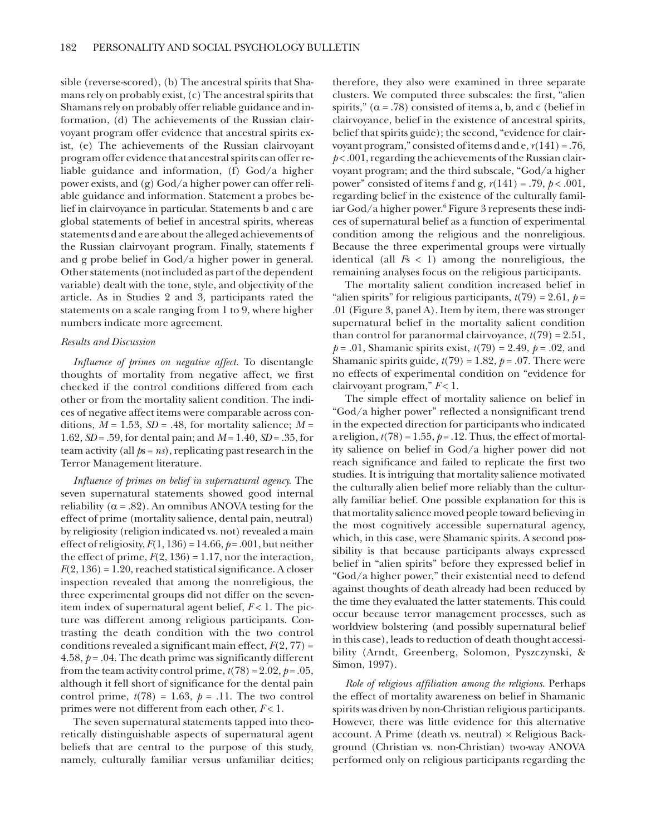sible (reverse-scored), (b) The ancestral spirits that Shamans rely on probably exist, (c) The ancestral spirits that Shamans rely on probably offer reliable guidance and information, (d) The achievements of the Russian clairvoyant program offer evidence that ancestral spirits exist, (e) The achievements of the Russian clairvoyant program offer evidence that ancestral spirits can offer reliable guidance and information, (f) God/a higher power exists, and (g) God/a higher power can offer reliable guidance and information. Statement a probes belief in clairvoyance in particular. Statements b and c are global statements of belief in ancestral spirits, whereas statements d and e are about the alleged achievements of the Russian clairvoyant program. Finally, statements f and g probe belief in God/a higher power in general. Other statements (not included as part of the dependent variable) dealt with the tone, style, and objectivity of the article. As in Studies 2 and 3, participants rated the statements on a scale ranging from 1 to 9, where higher numbers indicate more agreement.

#### *Results and Discussion*

*Influence of primes on negative affect*. To disentangle thoughts of mortality from negative affect, we first checked if the control conditions differed from each other or from the mortality salient condition. The indices of negative affect items were comparable across conditions,  $M = 1.53$ ,  $SD = .48$ , for mortality salience;  $M =$ 1.62, *SD* = .59, for dental pain; and *M* = 1.40, *SD* = .35, for team activity (all  $ps = ns$ ), replicating past research in the Terror Management literature.

*Influence of primes on belief in supernatural agency*. The seven supernatural statements showed good internal reliability ( $\alpha$  = .82). An omnibus ANOVA testing for the effect of prime (mortality salience, dental pain, neutral) by religiosity (religion indicated vs. not) revealed a main effect of religiosity,  $F(1, 136) = 14.66$ ,  $p = .001$ , but neither the effect of prime,  $F(2, 136) = 1.17$ , nor the interaction,  $F(2, 136) = 1.20$ , reached statistical significance. A closer inspection revealed that among the nonreligious, the three experimental groups did not differ on the sevenitem index of supernatural agent belief, *F* < 1. The picture was different among religious participants. Contrasting the death condition with the two control conditions revealed a significant main effect,  $F(2, 77) =$ 4.58,  $p = 0.04$ . The death prime was significantly different from the team activity control prime,  $t(78) = 2.02$ ,  $p = .05$ , although it fell short of significance for the dental pain control prime,  $t(78) = 1.63$ ,  $p = .11$ . The two control primes were not different from each other, *F* < 1.

The seven supernatural statements tapped into theoretically distinguishable aspects of supernatural agent beliefs that are central to the purpose of this study, namely, culturally familiar versus unfamiliar deities; therefore, they also were examined in three separate clusters. We computed three subscales: the first, "alien spirits,"  $(\alpha = .78)$  consisted of items a, b, and c (belief in clairvoyance, belief in the existence of ancestral spirits, belief that spirits guide); the second, "evidence for clairvoyant program," consisted of items d and e,*r*(141) = .76,  $p$  < .001, regarding the achievements of the Russian clairvoyant program; and the third subscale, "God/a higher power" consisted of items f and g, *r*(141) = .79, *p* < .001, regarding belief in the existence of the culturally famil $i$ ar God/a higher power.<sup>6</sup> Figure 3 represents these indices of supernatural belief as a function of experimental condition among the religious and the nonreligious. Because the three experimental groups were virtually identical (all *F*s < 1) among the nonreligious, the remaining analyses focus on the religious participants.

The mortality salient condition increased belief in "alien spirits" for religious participants,  $t(79) = 2.61$ ,  $p =$ .01 (Figure 3, panel A). Item by item, there was stronger supernatural belief in the mortality salient condition than control for paranormal clairvoyance,  $t(79) = 2.51$ , *p* = .01, Shamanic spirits exist, *t*(79) = 2.49, *p* = .02, and Shamanic spirits guide,  $t(79) = 1.82$ ,  $p = .07$ . There were no effects of experimental condition on "evidence for clairvoyant program," *F* < 1.

The simple effect of mortality salience on belief in "God/a higher power" reflected a nonsignificant trend in the expected direction for participants who indicated a religion,  $t(78) = 1.55$ ,  $p = .12$ . Thus, the effect of mortality salience on belief in God/a higher power did not reach significance and failed to replicate the first two studies. It is intriguing that mortality salience motivated the culturally alien belief more reliably than the culturally familiar belief. One possible explanation for this is that mortality salience moved people toward believing in the most cognitively accessible supernatural agency, which, in this case, were Shamanic spirits. A second possibility is that because participants always expressed belief in "alien spirits" before they expressed belief in "God/a higher power," their existential need to defend against thoughts of death already had been reduced by the time they evaluated the latter statements. This could occur because terror management processes, such as worldview bolstering (and possibly supernatural belief in this case), leads to reduction of death thought accessibility (Arndt, Greenberg, Solomon, Pyszczynski, & Simon, 1997).

*Role of religious affiliation among the religious*. Perhaps the effect of mortality awareness on belief in Shamanic spirits was driven by non-Christian religious participants. However, there was little evidence for this alternative account. A Prime (death vs. neutral)  $\times$  Religious Background (Christian vs. non-Christian) two-way ANOVA performed only on religious participants regarding the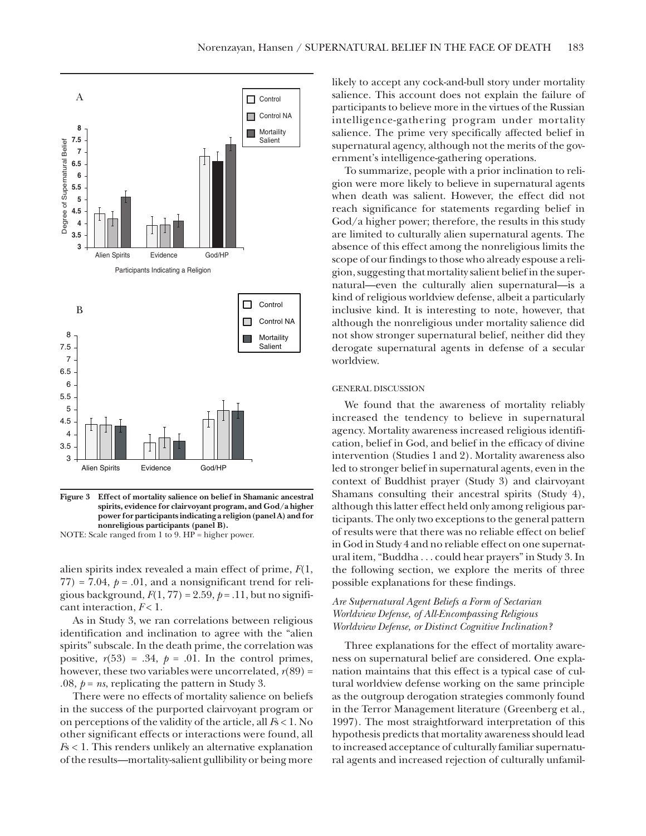

**Figure 3 Effect of mortality salience on belief in Shamanic ancestral spirits, evidence for clairvoyant program, and God/a higher power for participants indicating a religion (panel A) and for nonreligious participants (panel B).** NOTE: Scale ranged from 1 to 9. HP = higher power.

alien spirits index revealed a main effect of prime, *F*(1,  $77$ ) = 7.04,  $p = .01$ , and a nonsignificant trend for religious background,  $F(1, 77) = 2.59$ ,  $p = .11$ , but no significant interaction, *F* < 1.

As in Study 3, we ran correlations between religious identification and inclination to agree with the "alien spirits" subscale. In the death prime, the correlation was positive,  $r(53) = .34$ ,  $p = .01$ . In the control primes, however, these two variables were uncorrelated,  $r(89)$  = .08,  $p = ns$ , replicating the pattern in Study 3.

There were no effects of mortality salience on beliefs in the success of the purported clairvoyant program or on perceptions of the validity of the article, all *F*s < 1. No other significant effects or interactions were found, all *F*s < 1. This renders unlikely an alternative explanation of the results—mortality-salient gullibility or being more likely to accept any cock-and-bull story under mortality salience. This account does not explain the failure of participants to believe more in the virtues of the Russian intelligence-gathering program under mortality salience. The prime very specifically affected belief in supernatural agency, although not the merits of the government's intelligence-gathering operations.

To summarize, people with a prior inclination to religion were more likely to believe in supernatural agents when death was salient. However, the effect did not reach significance for statements regarding belief in God/a higher power; therefore, the results in this study are limited to culturally alien supernatural agents. The absence of this effect among the nonreligious limits the scope of our findings to those who already espouse a religion, suggesting that mortality salient belief in the supernatural—even the culturally alien supernatural—is a kind of religious worldview defense, albeit a particularly inclusive kind. It is interesting to note, however, that although the nonreligious under mortality salience did not show stronger supernatural belief, neither did they derogate supernatural agents in defense of a secular worldview.

### GENERAL DISCUSSION

We found that the awareness of mortality reliably increased the tendency to believe in supernatural agency. Mortality awareness increased religious identification, belief in God, and belief in the efficacy of divine intervention (Studies 1 and 2). Mortality awareness also led to stronger belief in supernatural agents, even in the context of Buddhist prayer (Study 3) and clairvoyant Shamans consulting their ancestral spirits (Study 4), although this latter effect held only among religious participants. The only two exceptions to the general pattern of results were that there was no reliable effect on belief in God in Study 4 and no reliable effect on one supernatural item, "Buddha . . . could hear prayers" in Study 3. In the following section, we explore the merits of three possible explanations for these findings.

# *Are Supernatural Agent Beliefs a Form of Sectarian Worldview Defense, of All-Encompassing Religious Worldview Defense, or Distinct Cognitive Inclination?*

Three explanations for the effect of mortality awareness on supernatural belief are considered. One explanation maintains that this effect is a typical case of cultural worldview defense working on the same principle as the outgroup derogation strategies commonly found in the Terror Management literature (Greenberg et al., 1997). The most straightforward interpretation of this hypothesis predicts that mortality awareness should lead to increased acceptance of culturally familiar supernatural agents and increased rejection of culturally unfamil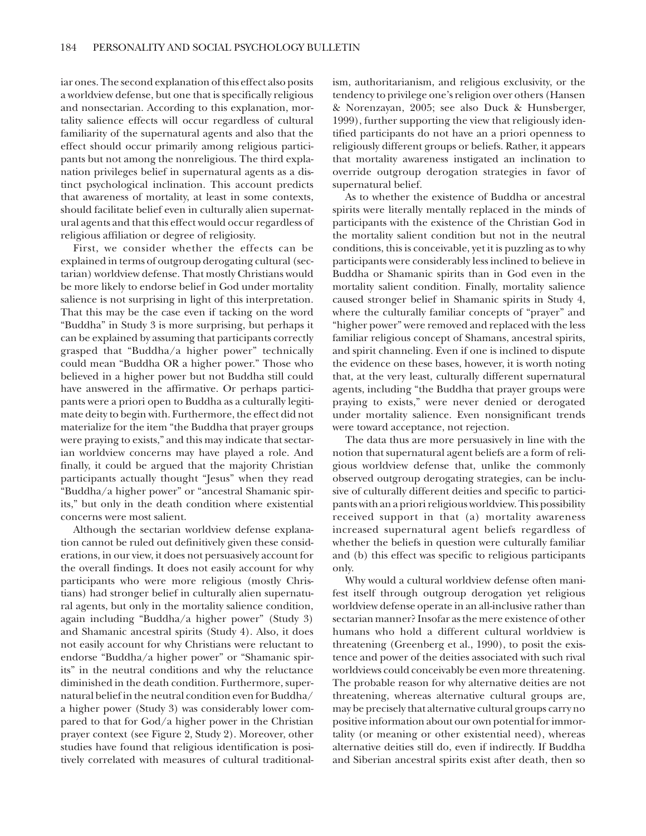iar ones. The second explanation of this effect also posits a worldview defense, but one that is specifically religious and nonsectarian. According to this explanation, mortality salience effects will occur regardless of cultural familiarity of the supernatural agents and also that the effect should occur primarily among religious participants but not among the nonreligious. The third explanation privileges belief in supernatural agents as a distinct psychological inclination. This account predicts that awareness of mortality, at least in some contexts, should facilitate belief even in culturally alien supernatural agents and that this effect would occur regardless of religious affiliation or degree of religiosity.

First, we consider whether the effects can be explained in terms of outgroup derogating cultural (sectarian) worldview defense. That mostly Christians would be more likely to endorse belief in God under mortality salience is not surprising in light of this interpretation. That this may be the case even if tacking on the word "Buddha" in Study 3 is more surprising, but perhaps it can be explained by assuming that participants correctly grasped that "Buddha/a higher power" technically could mean "Buddha OR a higher power." Those who believed in a higher power but not Buddha still could have answered in the affirmative. Or perhaps participants were a priori open to Buddha as a culturally legitimate deity to begin with. Furthermore, the effect did not materialize for the item "the Buddha that prayer groups were praying to exists," and this may indicate that sectarian worldview concerns may have played a role. And finally, it could be argued that the majority Christian participants actually thought "Jesus" when they read "Buddha/a higher power" or "ancestral Shamanic spirits," but only in the death condition where existential concerns were most salient.

Although the sectarian worldview defense explanation cannot be ruled out definitively given these considerations, in our view, it does not persuasively account for the overall findings. It does not easily account for why participants who were more religious (mostly Christians) had stronger belief in culturally alien supernatural agents, but only in the mortality salience condition, again including "Buddha/a higher power" (Study 3) and Shamanic ancestral spirits (Study 4). Also, it does not easily account for why Christians were reluctant to endorse "Buddha/a higher power" or "Shamanic spirits" in the neutral conditions and why the reluctance diminished in the death condition. Furthermore, supernatural belief in the neutral condition even for Buddha/ a higher power (Study 3) was considerably lower compared to that for God/a higher power in the Christian prayer context (see Figure 2, Study 2). Moreover, other studies have found that religious identification is positively correlated with measures of cultural traditionalism, authoritarianism, and religious exclusivity, or the tendency to privilege one's religion over others (Hansen & Norenzayan, 2005; see also Duck & Hunsberger, 1999), further supporting the view that religiously identified participants do not have an a priori openness to religiously different groups or beliefs. Rather, it appears that mortality awareness instigated an inclination to override outgroup derogation strategies in favor of supernatural belief.

As to whether the existence of Buddha or ancestral spirits were literally mentally replaced in the minds of participants with the existence of the Christian God in the mortality salient condition but not in the neutral conditions, this is conceivable, yet it is puzzling as to why participants were considerably less inclined to believe in Buddha or Shamanic spirits than in God even in the mortality salient condition. Finally, mortality salience caused stronger belief in Shamanic spirits in Study 4, where the culturally familiar concepts of "prayer" and "higher power" were removed and replaced with the less familiar religious concept of Shamans, ancestral spirits, and spirit channeling. Even if one is inclined to dispute the evidence on these bases, however, it is worth noting that, at the very least, culturally different supernatural agents, including "the Buddha that prayer groups were praying to exists," were never denied or derogated under mortality salience. Even nonsignificant trends were toward acceptance, not rejection.

The data thus are more persuasively in line with the notion that supernatural agent beliefs are a form of religious worldview defense that, unlike the commonly observed outgroup derogating strategies, can be inclusive of culturally different deities and specific to participants with an a priori religious worldview. This possibility received support in that (a) mortality awareness increased supernatural agent beliefs regardless of whether the beliefs in question were culturally familiar and (b) this effect was specific to religious participants only.

Why would a cultural worldview defense often manifest itself through outgroup derogation yet religious worldview defense operate in an all-inclusive rather than sectarian manner? Insofar as the mere existence of other humans who hold a different cultural worldview is threatening (Greenberg et al., 1990), to posit the existence and power of the deities associated with such rival worldviews could conceivably be even more threatening. The probable reason for why alternative deities are not threatening, whereas alternative cultural groups are, may be precisely that alternative cultural groups carry no positive information about our own potential for immortality (or meaning or other existential need), whereas alternative deities still do, even if indirectly. If Buddha and Siberian ancestral spirits exist after death, then so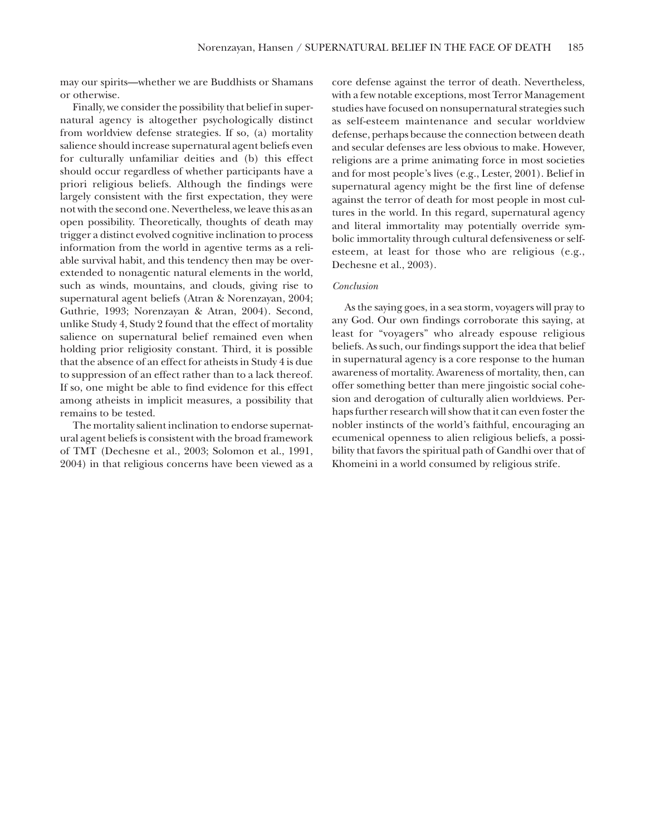may our spirits—whether we are Buddhists or Shamans or otherwise.

Finally, we consider the possibility that belief in supernatural agency is altogether psychologically distinct from worldview defense strategies. If so, (a) mortality salience should increase supernatural agent beliefs even for culturally unfamiliar deities and (b) this effect should occur regardless of whether participants have a priori religious beliefs. Although the findings were largely consistent with the first expectation, they were not with the second one. Nevertheless, we leave this as an open possibility. Theoretically, thoughts of death may trigger a distinct evolved cognitive inclination to process information from the world in agentive terms as a reliable survival habit, and this tendency then may be overextended to nonagentic natural elements in the world, such as winds, mountains, and clouds, giving rise to supernatural agent beliefs (Atran & Norenzayan, 2004; Guthrie, 1993; Norenzayan & Atran, 2004). Second, unlike Study 4, Study 2 found that the effect of mortality salience on supernatural belief remained even when holding prior religiosity constant. Third, it is possible that the absence of an effect for atheists in Study 4 is due to suppression of an effect rather than to a lack thereof. If so, one might be able to find evidence for this effect among atheists in implicit measures, a possibility that remains to be tested.

The mortality salient inclination to endorse supernatural agent beliefs is consistent with the broad framework of TMT (Dechesne et al., 2003; Solomon et al., 1991, 2004) in that religious concerns have been viewed as a core defense against the terror of death. Nevertheless, with a few notable exceptions, most Terror Management studies have focused on nonsupernatural strategies such as self-esteem maintenance and secular worldview defense, perhaps because the connection between death and secular defenses are less obvious to make. However, religions are a prime animating force in most societies and for most people's lives (e.g., Lester, 2001). Belief in supernatural agency might be the first line of defense against the terror of death for most people in most cultures in the world. In this regard, supernatural agency and literal immortality may potentially override symbolic immortality through cultural defensiveness or selfesteem, at least for those who are religious (e.g., Dechesne et al., 2003).

## *Conclusion*

As the saying goes, in a sea storm, voyagers will pray to any God. Our own findings corroborate this saying, at least for "voyagers" who already espouse religious beliefs. As such, our findings support the idea that belief in supernatural agency is a core response to the human awareness of mortality. Awareness of mortality, then, can offer something better than mere jingoistic social cohesion and derogation of culturally alien worldviews. Perhaps further research will show that it can even foster the nobler instincts of the world's faithful, encouraging an ecumenical openness to alien religious beliefs, a possibility that favors the spiritual path of Gandhi over that of Khomeini in a world consumed by religious strife.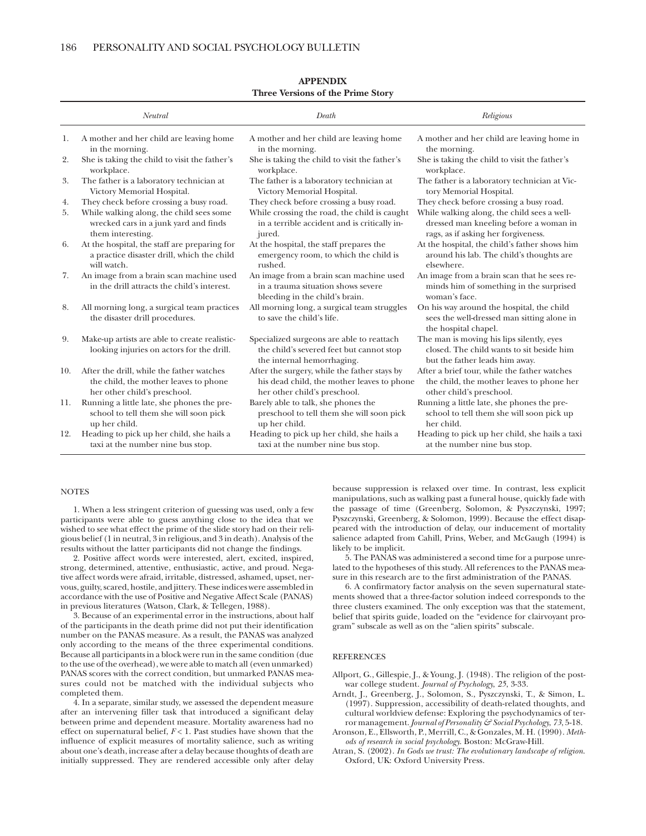|     | Neutral                                                                                    | Death                                                                                                               | Religious                                                                                                                |
|-----|--------------------------------------------------------------------------------------------|---------------------------------------------------------------------------------------------------------------------|--------------------------------------------------------------------------------------------------------------------------|
| 1.  | A mother and her child are leaving home                                                    | A mother and her child are leaving home                                                                             | A mother and her child are leaving home in                                                                               |
|     | in the morning.                                                                            | in the morning.                                                                                                     | the morning.                                                                                                             |
| 2.  | She is taking the child to visit the father's                                              | She is taking the child to visit the father's                                                                       | She is taking the child to visit the father's                                                                            |
|     | workplace.                                                                                 | workplace.                                                                                                          | workplace.                                                                                                               |
| 3.  | The father is a laboratory technician at                                                   | The father is a laboratory technician at                                                                            | The father is a laboratory technician at Vic-                                                                            |
|     | Victory Memorial Hospital.                                                                 | Victory Memorial Hospital.                                                                                          | tory Memorial Hospital.                                                                                                  |
| 4.  | They check before crossing a busy road.                                                    | They check before crossing a busy road.                                                                             | They check before crossing a busy road.                                                                                  |
| 5.  | While walking along, the child sees some                                                   | While crossing the road, the child is caught                                                                        | While walking along, the child sees a well-                                                                              |
|     | wrecked cars in a junk yard and finds                                                      | in a terrible accident and is critically in-                                                                        | dressed man kneeling before a woman in                                                                                   |
|     | them interesting.                                                                          | jured.                                                                                                              | rags, as if asking her forgiveness.                                                                                      |
| 6.  | At the hospital, the staff are preparing for                                               | At the hospital, the staff prepares the                                                                             | At the hospital, the child's father shows him                                                                            |
|     | a practice disaster drill, which the child                                                 | emergency room, to which the child is                                                                               | around his lab. The child's thoughts are                                                                                 |
|     | will watch.                                                                                | rushed.                                                                                                             | elsewhere.                                                                                                               |
| 7.  | An image from a brain scan machine used<br>in the drill attracts the child's interest.     | An image from a brain scan machine used<br>in a trauma situation shows severe<br>bleeding in the child's brain.     | An image from a brain scan that he sees re-<br>minds him of something in the surprised<br>woman's face.                  |
| 8.  | All morning long, a surgical team practices<br>the disaster drill procedures.              | All morning long, a surgical team struggles<br>to save the child's life.                                            | On his way around the hospital, the child<br>sees the well-dressed man sitting alone in<br>the hospital chapel.          |
| 9.  | Make-up artists are able to create realistic-<br>looking injuries on actors for the drill. | Specialized surgeons are able to reattach<br>the child's severed feet but cannot stop<br>the internal hemorrhaging. | The man is moving his lips silently, eyes<br>closed. The child wants to sit beside him<br>but the father leads him away. |
| 10. | After the drill, while the father watches                                                  | After the surgery, while the father stays by                                                                        | After a brief tour, while the father watches                                                                             |
|     | the child, the mother leaves to phone                                                      | his dead child, the mother leaves to phone                                                                          | the child, the mother leaves to phone her                                                                                |
|     | her other child's preschool.                                                               | her other child's preschool.                                                                                        | other child's preschool.                                                                                                 |
| 11. | Running a little late, she phones the pre-                                                 | Barely able to talk, she phones the                                                                                 | Running a little late, she phones the pre-                                                                               |
|     | school to tell them she will soon pick                                                     | preschool to tell them she will soon pick                                                                           | school to tell them she will soon pick up                                                                                |
|     | up her child.                                                                              | up her child.                                                                                                       | her child.                                                                                                               |
| 12. | Heading to pick up her child, she hails a                                                  | Heading to pick up her child, she hails a                                                                           | Heading to pick up her child, she hails a taxi                                                                           |
|     | taxi at the number nine bus stop.                                                          | taxi at the number nine bus stop.                                                                                   | at the number nine bus stop.                                                                                             |

# **APPENDIX Three Versions of the Prime Story**

## **NOTES**

1. When a less stringent criterion of guessing was used, only a few participants were able to guess anything close to the idea that we wished to see what effect the prime of the slide story had on their religious belief (1 in neutral, 3 in religious, and 3 in death). Analysis of the results without the latter participants did not change the findings.

2. Positive affect words were interested, alert, excited, inspired, strong, determined, attentive, enthusiastic, active, and proud. Negative affect words were afraid, irritable, distressed, ashamed, upset, nervous, guilty, scared, hostile, and jittery. These indices were assembled in accordance with the use of Positive and Negative Affect Scale (PANAS) in previous literatures (Watson, Clark, & Tellegen, 1988).

3. Because of an experimental error in the instructions, about half of the participants in the death prime did not put their identification number on the PANAS measure. As a result, the PANAS was analyzed only according to the means of the three experimental conditions. Because all participants in a block were run in the same condition (due to the use of the overhead), we were able to match all (even unmarked) PANAS scores with the correct condition, but unmarked PANAS measures could not be matched with the individual subjects who completed them.

4. In a separate, similar study, we assessed the dependent measure after an intervening filler task that introduced a significant delay between prime and dependent measure. Mortality awareness had no effect on supernatural belief, *F* < 1. Past studies have shown that the influence of explicit measures of mortality salience, such as writing about one's death, increase after a delay because thoughts of death are initially suppressed. They are rendered accessible only after delay

because suppression is relaxed over time. In contrast, less explicit manipulations, such as walking past a funeral house, quickly fade with the passage of time (Greenberg, Solomon, & Pyszczynski, 1997; Pyszczynski, Greenberg, & Solomon, 1999). Because the effect disappeared with the introduction of delay, our inducement of mortality salience adapted from Cahill, Prins, Weber, and McGaugh (1994) is likely to be implicit.

5. The PANAS was administered a second time for a purpose unrelated to the hypotheses of this study. All references to the PANAS measure in this research are to the first administration of the PANAS.

6. A confirmatory factor analysis on the seven supernatural statements showed that a three-factor solution indeed corresponds to the three clusters examined. The only exception was that the statement, belief that spirits guide, loaded on the "evidence for clairvoyant program" subscale as well as on the "alien spirits" subscale.

#### **REFERENCES**

- Allport, G., Gillespie, J., & Young, J. (1948). The religion of the postwar college student. *Journal of Psychology*, *25*, 3-33.
- Arndt, J., Greenberg, J., Solomon, S., Pyszczynski, T., & Simon, L. (1997). Suppression, accessibility of death-related thoughts, and cultural worldview defense: Exploring the psychodynamics of terror management. *Journal of Personality & Social Psychology*, *73*, 5-18.
- Aronson, E., Ellsworth, P., Merrill, C., & Gonzales, M. H. (1990). *Methods of research in social psychology*. Boston: McGraw-Hill.
- Atran, S. (2002). *In Gods we trust: The evolutionary landscape of religion*. Oxford, UK: Oxford University Press.